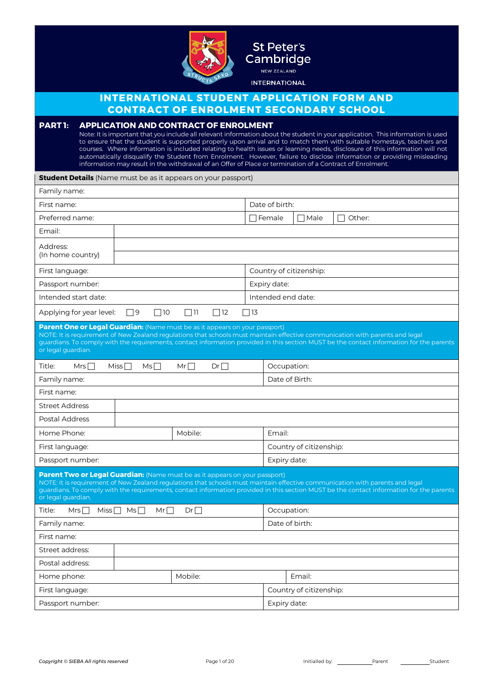

## St Peter's Cambridge NEW ZEALAND

**INTERNATIONAL** 

## **INTERNATIONAL STUDENT APPLICATION FORM AND CONTRACT OF ENROLMENT SECONDARY SCHOOL**

## **PART 1: APPLICATION AND CONTRACT OF ENROLMENT**

Note: It is important that you include all relevant information about the student in your application. This information is used to ensure that the student is supported properly upon arrival and to match them with suitable homestays, teachers and courses. Where information is included relating to health issues or learning needs, disclosure of this information will not automatically disqualify the Student from Enrolment. However, failure to disclose information or providing misleading information may result in the withdrawal of an Offer of Place or termination of a Contract of Enrolment.

| <b>Student Details</b> (Name must be as it appears on your passport)                                                                                                                                                                                                                                                                                                          |                                |          |                         |                         |               |                                    |
|-------------------------------------------------------------------------------------------------------------------------------------------------------------------------------------------------------------------------------------------------------------------------------------------------------------------------------------------------------------------------------|--------------------------------|----------|-------------------------|-------------------------|---------------|------------------------------------|
| Family name:                                                                                                                                                                                                                                                                                                                                                                  |                                |          |                         |                         |               |                                    |
| First name:                                                                                                                                                                                                                                                                                                                                                                   |                                |          |                         | Date of birth:          |               |                                    |
| Preferred name:                                                                                                                                                                                                                                                                                                                                                               |                                |          |                         | $\sqcap$ Female         | $\sqcap$ Male | Other:<br>$\overline{\phantom{a}}$ |
| Email:                                                                                                                                                                                                                                                                                                                                                                        |                                |          |                         |                         |               |                                    |
| Address:<br>(In home country)                                                                                                                                                                                                                                                                                                                                                 |                                |          |                         |                         |               |                                    |
| First language:                                                                                                                                                                                                                                                                                                                                                               |                                |          |                         | Country of citizenship: |               |                                    |
| Passport number:                                                                                                                                                                                                                                                                                                                                                              |                                |          |                         | Expiry date:            |               |                                    |
| Intended start date:                                                                                                                                                                                                                                                                                                                                                          |                                |          |                         | Intended end date:      |               |                                    |
| Applying for year level:                                                                                                                                                                                                                                                                                                                                                      | $\Box$ 9<br>$\Box$ 10          | $\Box$   | $\Box$ 12<br>$\Box$ 13  |                         |               |                                    |
| Parent One or Legal Guardian: (Name must be as it appears on your passport)<br>NOTE: It is requirement of New Zealand regulations that schools must maintain effective communication with parents and legal<br>guardians. To comply with the requirements, contact information provided in this section MUST be the contact information for the parents<br>or legal guardian. |                                |          |                         |                         |               |                                    |
| Title:<br>Mrs $\Box$                                                                                                                                                                                                                                                                                                                                                          | Miss $\Box$<br>MS <sub>1</sub> | $Mr\Box$ | $Dr \Box$               | Occupation:             |               |                                    |
| Family name:                                                                                                                                                                                                                                                                                                                                                                  |                                |          |                         | Date of Birth:          |               |                                    |
| First name:                                                                                                                                                                                                                                                                                                                                                                   |                                |          |                         |                         |               |                                    |
| <b>Street Address</b>                                                                                                                                                                                                                                                                                                                                                         |                                |          |                         |                         |               |                                    |
| <b>Postal Address</b>                                                                                                                                                                                                                                                                                                                                                         |                                |          |                         |                         |               |                                    |
| Home Phone:                                                                                                                                                                                                                                                                                                                                                                   |                                | Mobile:  |                         | Email:                  |               |                                    |
| First language:                                                                                                                                                                                                                                                                                                                                                               |                                |          |                         | Country of citizenship: |               |                                    |
| Passport number:                                                                                                                                                                                                                                                                                                                                                              |                                |          | Expiry date:            |                         |               |                                    |
| Parent Two or Legal Guardian: (Name must be as it appears on your passport)<br>NOTE: It is requirement of New Zealand regulations that schools must maintain effective communication with parents and legal<br>guardians. To comply with the requirements, contact information provided in this section MUST be the contact information for the parents<br>or legal guardian. |                                |          |                         |                         |               |                                    |
| Title:<br>Mrs $\Box$<br>Miss $\Box$<br>Ms <sub>1</sub><br>Dr<br>$Mr\Box$                                                                                                                                                                                                                                                                                                      |                                |          |                         | Occupation:             |               |                                    |
| Family name:                                                                                                                                                                                                                                                                                                                                                                  |                                |          |                         | Date of birth:          |               |                                    |
| First name:                                                                                                                                                                                                                                                                                                                                                                   |                                |          |                         |                         |               |                                    |
| Street address:                                                                                                                                                                                                                                                                                                                                                               |                                |          |                         |                         |               |                                    |
| Postal address:                                                                                                                                                                                                                                                                                                                                                               |                                |          |                         |                         |               |                                    |
| Home phone:                                                                                                                                                                                                                                                                                                                                                                   |                                | Mobile:  |                         |                         | Email:        |                                    |
| First language:                                                                                                                                                                                                                                                                                                                                                               |                                |          | Country of citizenship: |                         |               |                                    |
| Passport number:                                                                                                                                                                                                                                                                                                                                                              |                                |          | Expiry date:            |                         |               |                                    |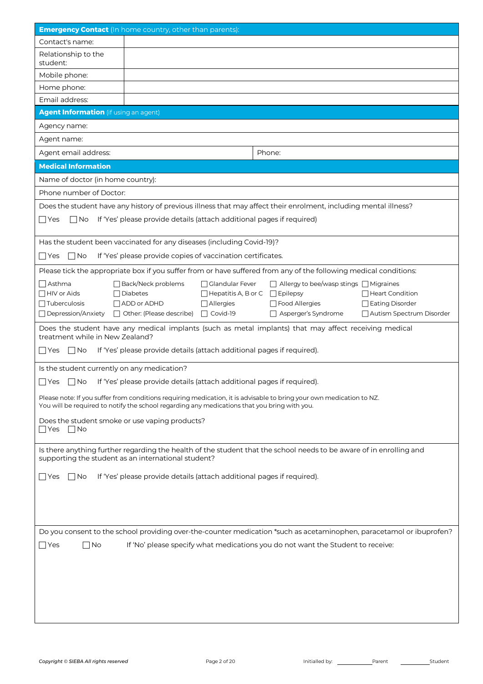| <b>Emergency Contact</b> (In home country, other than parents):                                                                                                                                                      |                                                                                                                   |                                              |                                               |  |  |  |
|----------------------------------------------------------------------------------------------------------------------------------------------------------------------------------------------------------------------|-------------------------------------------------------------------------------------------------------------------|----------------------------------------------|-----------------------------------------------|--|--|--|
| Contact's name:                                                                                                                                                                                                      |                                                                                                                   |                                              |                                               |  |  |  |
| Relationship to the<br>student:                                                                                                                                                                                      |                                                                                                                   |                                              |                                               |  |  |  |
| Mobile phone:                                                                                                                                                                                                        |                                                                                                                   |                                              |                                               |  |  |  |
| Home phone:                                                                                                                                                                                                          |                                                                                                                   |                                              |                                               |  |  |  |
| Email address:                                                                                                                                                                                                       |                                                                                                                   |                                              |                                               |  |  |  |
| <b>Agent Information</b> (if using an agent)                                                                                                                                                                         |                                                                                                                   |                                              |                                               |  |  |  |
| Agency name:                                                                                                                                                                                                         |                                                                                                                   |                                              |                                               |  |  |  |
| Agent name:                                                                                                                                                                                                          |                                                                                                                   |                                              |                                               |  |  |  |
| Agent email address:                                                                                                                                                                                                 |                                                                                                                   | Phone:                                       |                                               |  |  |  |
| <b>Medical Information</b>                                                                                                                                                                                           |                                                                                                                   |                                              |                                               |  |  |  |
| Name of doctor (in home country):                                                                                                                                                                                    |                                                                                                                   |                                              |                                               |  |  |  |
| Phone number of Doctor:                                                                                                                                                                                              |                                                                                                                   |                                              |                                               |  |  |  |
|                                                                                                                                                                                                                      | Does the student have any history of previous illness that may affect their enrolment, including mental illness?  |                                              |                                               |  |  |  |
| $\Box$ No<br> Yes                                                                                                                                                                                                    | If 'Yes' please provide details (attach additional pages if required)                                             |                                              |                                               |  |  |  |
|                                                                                                                                                                                                                      |                                                                                                                   |                                              |                                               |  |  |  |
|                                                                                                                                                                                                                      | Has the student been vaccinated for any diseases (including Covid-19)?                                            |                                              |                                               |  |  |  |
| $\Box$ No<br>l lYes                                                                                                                                                                                                  | If 'Yes' please provide copies of vaccination certificates.                                                       |                                              |                                               |  |  |  |
|                                                                                                                                                                                                                      | Please tick the appropriate box if you suffer from or have suffered from any of the following medical conditions: |                                              |                                               |  |  |  |
| $\sqcap$ Asthma                                                                                                                                                                                                      | □ Back/Neck problems<br>□ Glandular Fever                                                                         | □ Allergy to bee/wasp stings □ Migraines     |                                               |  |  |  |
| $\Box$ HIV or Aids                                                                                                                                                                                                   | $\Box$ Diabetes<br>□ Hepatitis A, B or C □ Epilepsy                                                               |                                              | □ Heart Condition                             |  |  |  |
| $\Box$ Tuberculosis<br>□ Depression/Anxiety                                                                                                                                                                          | $\Box$ ADD or ADHD<br>$\Box$ Allergies<br>□ Other: (Please describe) □ Covid-19                                   | $\Box$ Food Allergies<br>Asperger's Syndrome | □ Eating Disorder<br>Autism Spectrum Disorder |  |  |  |
|                                                                                                                                                                                                                      |                                                                                                                   |                                              |                                               |  |  |  |
| Does the student have any medical implants (such as metal implants) that may affect receiving medical<br>treatment while in New Zealand?                                                                             |                                                                                                                   |                                              |                                               |  |  |  |
| If 'Yes' please provide details (attach additional pages if required).<br>$\Box$ No<br>l IYes                                                                                                                        |                                                                                                                   |                                              |                                               |  |  |  |
| Is the student currently on any medication?                                                                                                                                                                          |                                                                                                                   |                                              |                                               |  |  |  |
| If 'Yes' please provide details (attach additional pages if required).<br>$\Box$ Yes<br>$\Box$ No                                                                                                                    |                                                                                                                   |                                              |                                               |  |  |  |
| Please note: If you suffer from conditions requiring medication, it is advisable to bring your own medication to NZ.<br>You will be required to notify the school regarding any medications that you bring with you. |                                                                                                                   |                                              |                                               |  |  |  |
| Does the student smoke or use vaping products?                                                                                                                                                                       |                                                                                                                   |                                              |                                               |  |  |  |
| $\Box$ Yes<br>$\Box$ No                                                                                                                                                                                              |                                                                                                                   |                                              |                                               |  |  |  |
|                                                                                                                                                                                                                      |                                                                                                                   |                                              |                                               |  |  |  |
| Is there anything further regarding the health of the student that the school needs to be aware of in enrolling and<br>supporting the student as an international student?                                           |                                                                                                                   |                                              |                                               |  |  |  |
| If 'Yes' please provide details (attach additional pages if required).<br>$\Box$ No<br>l IYes                                                                                                                        |                                                                                                                   |                                              |                                               |  |  |  |
|                                                                                                                                                                                                                      |                                                                                                                   |                                              |                                               |  |  |  |
|                                                                                                                                                                                                                      |                                                                                                                   |                                              |                                               |  |  |  |
|                                                                                                                                                                                                                      |                                                                                                                   |                                              |                                               |  |  |  |
|                                                                                                                                                                                                                      |                                                                                                                   |                                              |                                               |  |  |  |
| Do you consent to the school providing over-the-counter medication *such as acetaminophen, paracetamol or ibuprofen?                                                                                                 |                                                                                                                   |                                              |                                               |  |  |  |
| $\Box$ No<br>If 'No' please specify what medications you do not want the Student to receive:<br>$\Box$ Yes                                                                                                           |                                                                                                                   |                                              |                                               |  |  |  |
|                                                                                                                                                                                                                      |                                                                                                                   |                                              |                                               |  |  |  |
|                                                                                                                                                                                                                      |                                                                                                                   |                                              |                                               |  |  |  |
|                                                                                                                                                                                                                      |                                                                                                                   |                                              |                                               |  |  |  |
|                                                                                                                                                                                                                      |                                                                                                                   |                                              |                                               |  |  |  |
|                                                                                                                                                                                                                      |                                                                                                                   |                                              |                                               |  |  |  |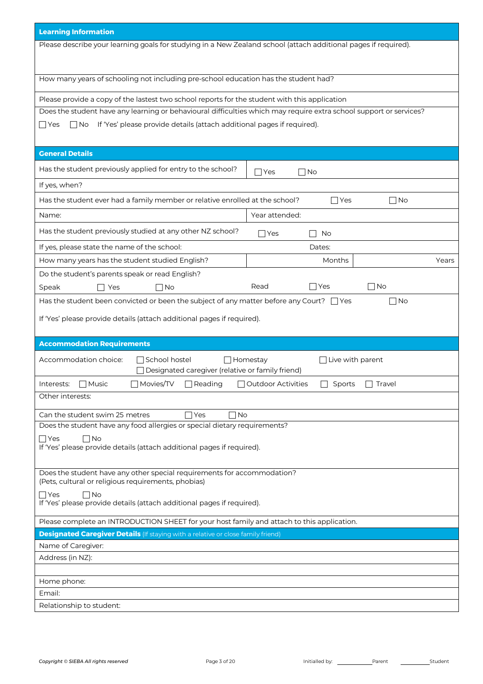| <b>Learning Information</b>                                                                                                    |                                     |  |  |  |  |  |  |
|--------------------------------------------------------------------------------------------------------------------------------|-------------------------------------|--|--|--|--|--|--|
| Please describe your learning goals for studying in a New Zealand school (attach additional pages if required).                |                                     |  |  |  |  |  |  |
|                                                                                                                                |                                     |  |  |  |  |  |  |
|                                                                                                                                |                                     |  |  |  |  |  |  |
| How many years of schooling not including pre-school education has the student had?                                            |                                     |  |  |  |  |  |  |
| Please provide a copy of the lastest two school reports for the student with this application                                  |                                     |  |  |  |  |  |  |
| Does the student have any learning or behavioural difficulties which may require extra school support or services?             |                                     |  |  |  |  |  |  |
| If 'Yes' please provide details (attach additional pages if required).<br>$\Box$ No<br>   Yes                                  |                                     |  |  |  |  |  |  |
|                                                                                                                                |                                     |  |  |  |  |  |  |
| <b>General Details</b>                                                                                                         |                                     |  |  |  |  |  |  |
| Has the student previously applied for entry to the school?                                                                    | $\Box$ Yes<br>$\Box$ No             |  |  |  |  |  |  |
| If yes, when?                                                                                                                  |                                     |  |  |  |  |  |  |
| Has the student ever had a family member or relative enrolled at the school?                                                   | $\Box$ Yes<br>$\Box$ No             |  |  |  |  |  |  |
|                                                                                                                                |                                     |  |  |  |  |  |  |
| Name:                                                                                                                          | Year attended:                      |  |  |  |  |  |  |
| Has the student previously studied at any other NZ school?                                                                     | No<br>   Yes<br>$\Box$              |  |  |  |  |  |  |
| If yes, please state the name of the school:                                                                                   | Dates:                              |  |  |  |  |  |  |
| How many years has the student studied English?                                                                                | Months<br>Years                     |  |  |  |  |  |  |
| Do the student's parents speak or read English?                                                                                |                                     |  |  |  |  |  |  |
| Speak<br>Yes<br>∩No                                                                                                            | $\Box$ No<br>$\Box$ Yes<br>Read     |  |  |  |  |  |  |
| Has the student been convicted or been the subject of any matter before any Court? $\Box$ Yes                                  | $\Box$ No                           |  |  |  |  |  |  |
| If 'Yes' please provide details (attach additional pages if required).                                                         |                                     |  |  |  |  |  |  |
|                                                                                                                                |                                     |  |  |  |  |  |  |
| <b>Accommodation Requirements</b>                                                                                              |                                     |  |  |  |  |  |  |
| Accommodation choice:<br>School hostel                                                                                         | $\Box$ Homestay<br>Live with parent |  |  |  |  |  |  |
| Designated caregiver (relative or family friend)                                                                               |                                     |  |  |  |  |  |  |
| $\Box$ Movies/TV<br>$\Box$ Music<br>$\Box$ Reading<br>□ Outdoor Activities<br>Sports<br>Interests:<br>Travel<br>$\mathsf{L}$   |                                     |  |  |  |  |  |  |
| Other interests:                                                                                                               |                                     |  |  |  |  |  |  |
| Can the student swim 25 metres<br>Yes]<br><b>No</b>                                                                            |                                     |  |  |  |  |  |  |
| Does the student have any food allergies or special dietary requirements?                                                      |                                     |  |  |  |  |  |  |
| $\Box$ Yes<br>$\Box$ No                                                                                                        |                                     |  |  |  |  |  |  |
| If 'Yes' please provide details (attach additional pages if required).                                                         |                                     |  |  |  |  |  |  |
|                                                                                                                                |                                     |  |  |  |  |  |  |
| Does the student have any other special requirements for accommodation?<br>(Pets, cultural or religious requirements, phobias) |                                     |  |  |  |  |  |  |
| $\Box$ Yes<br>∏No                                                                                                              |                                     |  |  |  |  |  |  |
| If 'Yes' please provide details (attach additional pages if required).                                                         |                                     |  |  |  |  |  |  |
| Please complete an INTRODUCTION SHEET for your host family and attach to this application.                                     |                                     |  |  |  |  |  |  |
| <b>Designated Caregiver Details</b> (If staying with a relative or close family friend)                                        |                                     |  |  |  |  |  |  |
| Name of Caregiver:                                                                                                             |                                     |  |  |  |  |  |  |
| Address (in NZ):                                                                                                               |                                     |  |  |  |  |  |  |
|                                                                                                                                |                                     |  |  |  |  |  |  |
| Home phone:                                                                                                                    |                                     |  |  |  |  |  |  |
| Email:                                                                                                                         |                                     |  |  |  |  |  |  |
| Relationship to student:                                                                                                       |                                     |  |  |  |  |  |  |